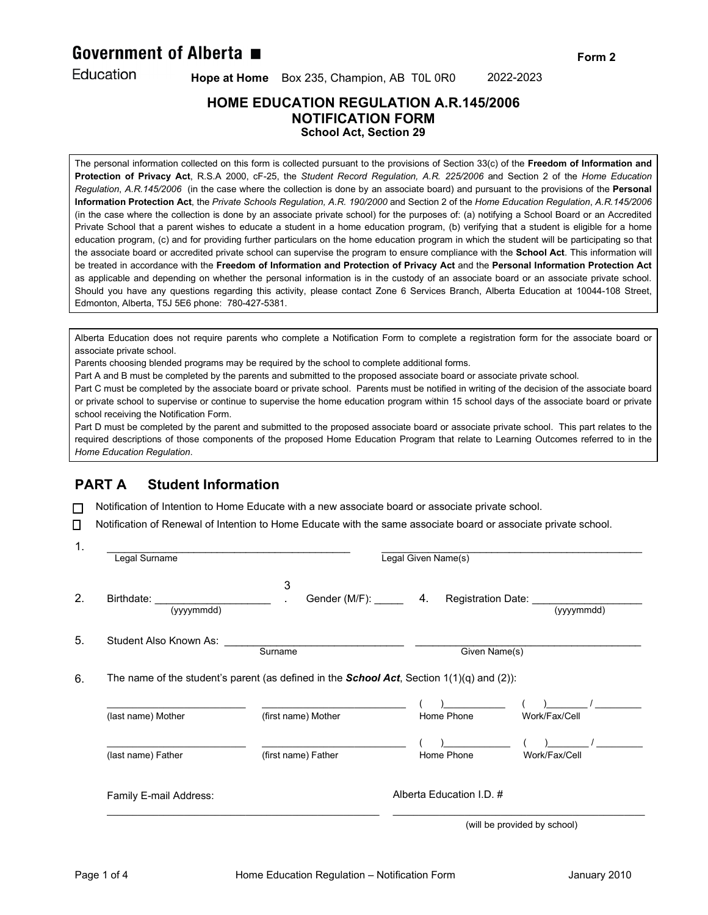# Government of Alberta ■

Education

 **Hope at Home** Box 235, Champion, AB T0L 0R0 2022-2023

### **HOME EDUCATION REGULATION A.R.145/2006 NOTIFICATION FORM School Act, Section 29**

The personal information collected on this form is collected pursuant to the provisions of Section 33(c) of the **Freedom of Information and Protection of Privacy Act**, R.S.A 2000, cF-25, the *Student Record Regulation, A.R. 225/2006* and Section 2 of the *Home Education Regulation*, *A.R.145/2006* (in the case where the collection is done by an associate board) and pursuant to the provisions of the **Personal Information Protection Act**, the *Private Schools Regulation, A.R. 190/2000* and Section 2 of the *Home Education Regulation*, *A.R.145/2006* (in the case where the collection is done by an associate private school) for the purposes of: (a) notifying a School Board or an Accredited Private School that a parent wishes to educate a student in a home education program, (b) verifying that a student is eligible for a home education program, (c) and for providing further particulars on the home education program in which the student will be participating so that the associate board or accredited private school can supervise the program to ensure compliance with the **School Act**. This information will be treated in accordance with the **Freedom of Information and Protection of Privacy Act** and the **Personal Information Protection Act**  as applicable and depending on whether the personal information is in the custody of an associate board or an associate private school*.*  Should you have any questions regarding this activity, please contact Zone 6 Services Branch, Alberta Education at 10044-108 Street, Edmonton, Alberta, T5J 5E6 phone: 780-427-5381.

Alberta Education does not require parents who complete a Notification Form to complete a registration form for the associate board or associate private school.

Parents choosing blended programs may be required by the school to complete additional forms.

Part A and B must be completed by the parents and submitted to the proposed associate board or associate private school.

Part C must be completed by the associate board or private school. Parents must be notified in writing of the decision of the associate board or private school to supervise or continue to supervise the home education program within 15 school days of the associate board or private school receiving the Notification Form.

Part D must be completed by the parent and submitted to the proposed associate board or associate private school. This part relates to the required descriptions of those components of the proposed Home Education Program that relate to Learning Outcomes referred to in the *Home Education Regulation*.

# **PART A Student Information**

 $\Box$  Notification of Intention to Home Educate with a new associate board or associate private school.

 $\Box$  Notification of Renewal of Intention to Home Educate with the same associate board or associate private school.

| Legal Surname                           |                                                                                                     | Legal Given Name(s)                                     |               |
|-----------------------------------------|-----------------------------------------------------------------------------------------------------|---------------------------------------------------------|---------------|
| Birthdate: <b>Example</b><br>(yyyymmdd) | 3                                                                                                   | Gender (M/F): 4. Registration Date: Cambridge Miller A. | (yyyymmdd)    |
| Student Also Known As:                  | Surname                                                                                             | Given Name(s)                                           |               |
|                                         |                                                                                                     |                                                         |               |
|                                         | The name of the student's parent (as defined in the <b>School Act</b> , Section $1(1)(q)$ and (2)): |                                                         |               |
| (last name) Mother                      | (first name) Mother                                                                                 | Home Phone                                              | Work/Fax/Cell |
| (last name) Father                      | (first name) Father                                                                                 | Home Phone                                              | Work/Fax/Cell |

(will be provided by school)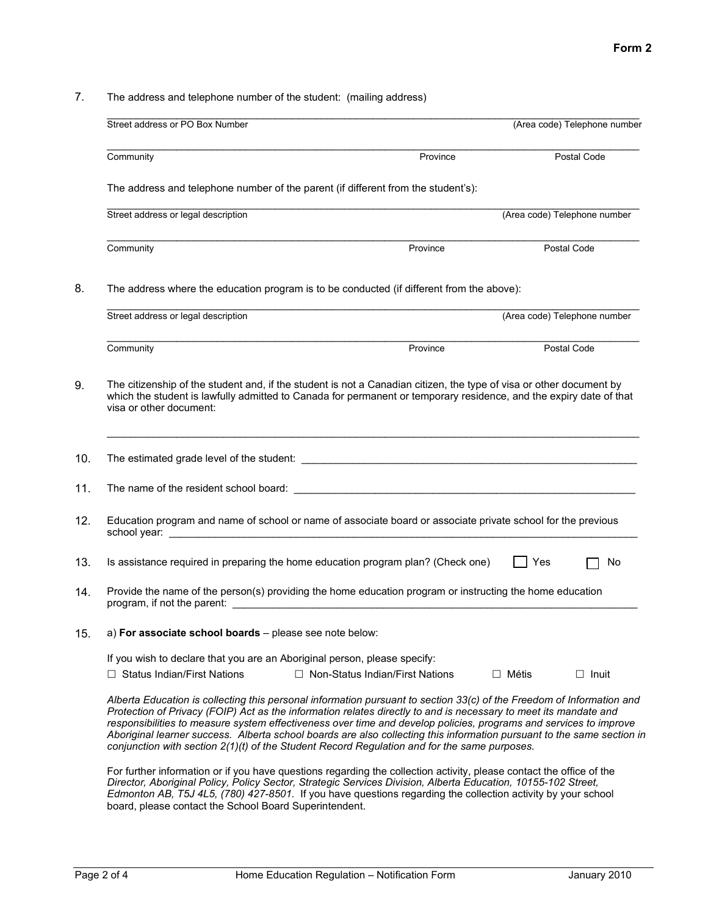7. The address and telephone number of the student: (mailing address)

| Street address or PO Box Number                                                                                                                                                                                                                                                                                                                                                                                                                                                                                                                                                          |                                   | (Area code) Telephone number |              |
|------------------------------------------------------------------------------------------------------------------------------------------------------------------------------------------------------------------------------------------------------------------------------------------------------------------------------------------------------------------------------------------------------------------------------------------------------------------------------------------------------------------------------------------------------------------------------------------|-----------------------------------|------------------------------|--------------|
| Community                                                                                                                                                                                                                                                                                                                                                                                                                                                                                                                                                                                | Province                          | Postal Code                  |              |
| The address and telephone number of the parent (if different from the student's):                                                                                                                                                                                                                                                                                                                                                                                                                                                                                                        |                                   |                              |              |
| Street address or legal description                                                                                                                                                                                                                                                                                                                                                                                                                                                                                                                                                      |                                   | (Area code) Telephone number |              |
| Community                                                                                                                                                                                                                                                                                                                                                                                                                                                                                                                                                                                | Province                          | Postal Code                  |              |
| The address where the education program is to be conducted (if different from the above):                                                                                                                                                                                                                                                                                                                                                                                                                                                                                                |                                   |                              |              |
| Street address or legal description                                                                                                                                                                                                                                                                                                                                                                                                                                                                                                                                                      |                                   | (Area code) Telephone number |              |
| Community                                                                                                                                                                                                                                                                                                                                                                                                                                                                                                                                                                                | Province                          | Postal Code                  |              |
| The citizenship of the student and, if the student is not a Canadian citizen, the type of visa or other document by<br>which the student is lawfully admitted to Canada for permanent or temporary residence, and the expiry date of that<br>visa or other document:                                                                                                                                                                                                                                                                                                                     |                                   |                              |              |
|                                                                                                                                                                                                                                                                                                                                                                                                                                                                                                                                                                                          |                                   |                              |              |
|                                                                                                                                                                                                                                                                                                                                                                                                                                                                                                                                                                                          |                                   |                              |              |
| Education program and name of school or name of associate board or associate private school for the previous                                                                                                                                                                                                                                                                                                                                                                                                                                                                             |                                   |                              |              |
| Is assistance required in preparing the home education program plan? (Check one)                                                                                                                                                                                                                                                                                                                                                                                                                                                                                                         |                                   | Yes                          | No           |
| Provide the name of the person(s) providing the home education program or instructing the home education                                                                                                                                                                                                                                                                                                                                                                                                                                                                                 |                                   |                              |              |
| a) For associate school boards - please see note below:                                                                                                                                                                                                                                                                                                                                                                                                                                                                                                                                  |                                   |                              |              |
| If you wish to declare that you are an Aboriginal person, please specify:<br>$\Box$ Status Indian/First Nations                                                                                                                                                                                                                                                                                                                                                                                                                                                                          | □ Non-Status Indian/First Nations | $\Box$ Métis                 | $\Box$ Inuit |
| Alberta Education is collecting this personal information pursuant to section 33(c) of the Freedom of Information and<br>Protection of Privacy (FOIP) Act as the information relates directly to and is necessary to meet its mandate and<br>responsibilities to measure system effectiveness over time and develop policies, programs and services to improve<br>Aboriginal learner success. Alberta school boards are also collecting this information pursuant to the same section in<br>conjunction with section 2(1)(t) of the Student Record Regulation and for the same purposes. |                                   |                              |              |
| For further information or if you have questions regarding the collection activity, please contact the office of the<br>Director, Aboriginal Policy, Policy Sector, Strategic Services Division, Alberta Education, 10155-102 Street,<br>Edmonton AB, T5J 4L5, (780) 427-8501. If you have questions regarding the collection activity by your school<br>board, please contact the School Board Superintendent.                                                                                                                                                                          |                                   |                              |              |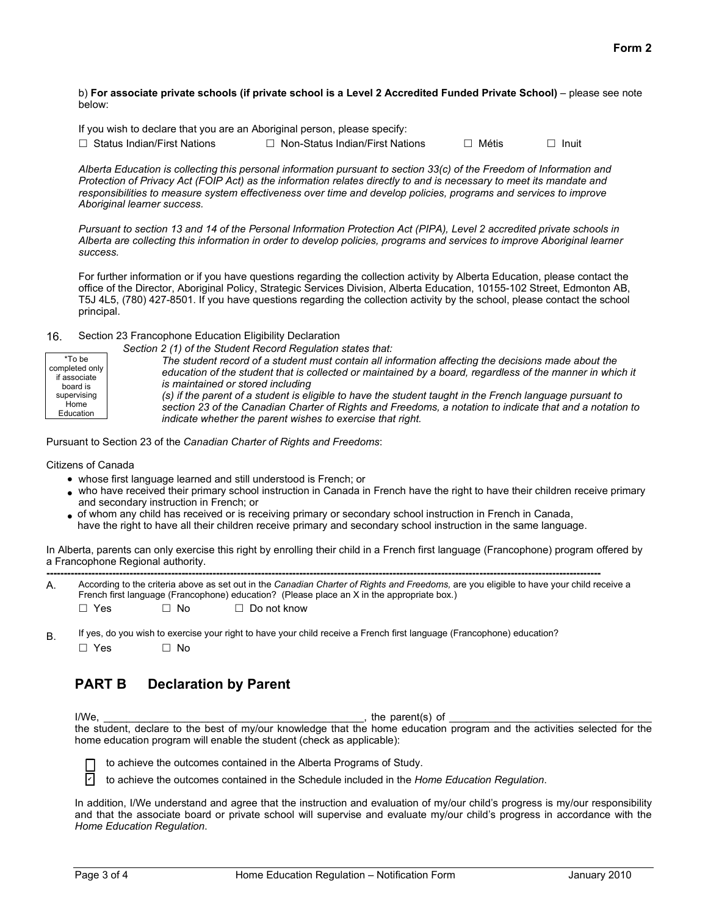b) **For associate private schools (if private school is a Level 2 Accredited Funded Private School)** – please see note below:

If you wish to declare that you are an Aboriginal person, please specify:

| $\Box$ Status Indian/First Nations | $\Box$ Non- |
|------------------------------------|-------------|
|                                    |             |

-Status Indian/First Nations  $\Box$  Métis  $\Box$  Inuit

*Alberta Education is collecting this personal information pursuant to section 33(c) of the Freedom of Information and Protection of Privacy Act (FOIP Act) as the information relates directly to and is necessary to meet its mandate and responsibilities to measure system effectiveness over time and develop policies, programs and services to improve Aboriginal learner success.*

*Pursuant to section 13 and 14 of the Personal Information Protection Act (PIPA), Level 2 accredited private schools in Alberta are collecting this information in order to develop policies, programs and services to improve Aboriginal learner success.*

For further information or if you have questions regarding the collection activity by Alberta Education, please contact the office of the Director, Aboriginal Policy, Strategic Services Division, Alberta Education, 10155-102 Street, Edmonton AB, T5J 4L5, (780) 427-8501. If you have questions regarding the collection activity by the school, please contact the school principal.

#### 16. Section 23 Francophone Education Eligibility Declaration

| *To be         | Section 2 (1) of the Student Record Regulation states that:                                               |
|----------------|-----------------------------------------------------------------------------------------------------------|
| completed only | The student record of a student must contain all information affecting the decisions made about the       |
| if associate   | education of the student that is collected or maintained by a board, regardless of the manner in which it |
| board is       | is maintained or stored including                                                                         |
| supervising    | (s) if the parent of a student is eligible to have the student taught in the French language pursuant to  |
| Home           | section 23 of the Canadian Charter of Rights and Freedoms, a notation to indicate that and a notation to  |
| Education      | indicate whether the parent wishes to exercise that right.                                                |

Pursuant to Section 23 of the *Canadian Charter of Rights and Freedoms*:

Citizens of Canada

- whose first language learned and still understood is French; or
- who have received their primary school instruction in Canada in French have the right to have their children receive primary and secondary instruction in French; or
- of whom any child has received or is receiving primary or secondary school instruction in French in Canada, have the right to have all their children receive primary and secondary school instruction in the same language.

In Alberta, parents can only exercise this right by enrolling their child in a French first language (Francophone) program offered by a Francophone Regional authority.

| Α. |            |      | According to the criteria above as set out in the Canadian Charter of Rights and Freedoms, are you eligible to have your child receive a<br>French first language (Francophone) education? (Please place an X in the appropriate box.) |
|----|------------|------|----------------------------------------------------------------------------------------------------------------------------------------------------------------------------------------------------------------------------------------|
|    | $\Box$ Yes | ⊤ No | $\Box$ Do not know                                                                                                                                                                                                                     |

B. If yes, do you wish to exercise your right to have your child receive a French first language (Francophone) education?<br>  $\Box$  Yes  $\Box$  No  $\neg$  Yes

### **PART B Declaration by Parent**

 $I/We$ , the parent(s) of the student, declare to the best of my/our knowledge that the home education program and the activities selected for the home education program will enable the student (check as applicable):

to achieve the outcomes contained in the Alberta Programs of Study.

 to achieve the outcomes contained in the Schedule included in the *Home Education Regulation*.  $\overline{V}$ 

In addition, I/We understand and agree that the instruction and evaluation of my/our child's progress is my/our responsibility and that the associate board or private school will supervise and evaluate my/our child's progress in accordance with the *Home Education Regulation*.